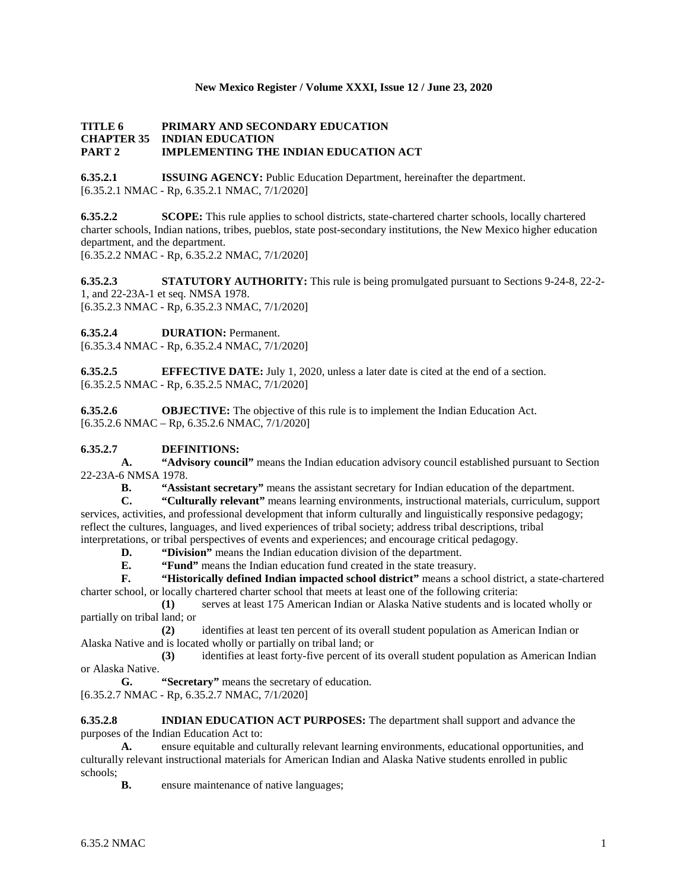### **New Mexico Register / Volume XXXI, Issue 12 / June 23, 2020**

## **TITLE 6 PRIMARY AND SECONDARY EDUCATION CHAPTER 35 INDIAN EDUCATION PART 2 IMPLEMENTING THE INDIAN EDUCATION ACT**

**6.35.2.1 ISSUING AGENCY:** Public Education Department, hereinafter the department. [6.35.2.1 NMAC - Rp, 6.35.2.1 NMAC, 7/1/2020]

**6.35.2.2 SCOPE:** This rule applies to school districts, state-chartered charter schools, locally chartered charter schools, Indian nations, tribes, pueblos, state post-secondary institutions, the New Mexico higher education department, and the department. [6.35.2.2 NMAC - Rp, 6.35.2.2 NMAC, 7/1/2020]

**6.35.2.3 STATUTORY AUTHORITY:** This rule is being promulgated pursuant to Sections 9-24-8, 22-2- 1, and 22-23A-1 et seq. NMSA 1978. [6.35.2.3 NMAC - Rp, 6.35.2.3 NMAC, 7/1/2020]

**6.35.2.4 DURATION:** Permanent.

[6.35.3.4 NMAC - Rp, 6.35.2.4 NMAC, 7/1/2020]

**6.35.2.5 EFFECTIVE DATE:** July 1, 2020, unless a later date is cited at the end of a section. [6.35.2.5 NMAC - Rp, 6.35.2.5 NMAC, 7/1/2020]

**6.35.2.6 OBJECTIVE:** The objective of this rule is to implement the Indian Education Act.  $[6.35.2.6 \text{ NMAC} - \text{Rp}, 6.35.2.6 \text{ NMAC}, 7/1/2020]$ 

# **6.35.2.7 DEFINITIONS:**

**A. "Advisory council"** means the Indian education advisory council established pursuant to Section 22-23A-6 NMSA 1978.

**B. "Assistant secretary"** means the assistant secretary for Indian education of the department.

**C. "Culturally relevant"** means learning environments, instructional materials, curriculum, support services, activities, and professional development that inform culturally and linguistically responsive pedagogy; reflect the cultures, languages, and lived experiences of tribal society; address tribal descriptions, tribal interpretations, or tribal perspectives of events and experiences; and encourage critical pedagogy.

**D. "Division"** means the Indian education division of the department.<br>**E. "Fund"** means the Indian education fund created in the state treasure

**"Fund"** means the Indian education fund created in the state treasury.

**F. "Historically defined Indian impacted school district"** means a school district, a state-chartered charter school, or locally chartered charter school that meets at least one of the following criteria:

**(1)** serves at least 175 American Indian or Alaska Native students and is located wholly or partially on tribal land; or

**(2)** identifies at least ten percent of its overall student population as American Indian or Alaska Native and is located wholly or partially on tribal land; or

**(3)** identifies at least forty-five percent of its overall student population as American Indian or Alaska Native.

**G. "Secretary"** means the secretary of education. [6.35.2.7 NMAC - Rp, 6.35.2.7 NMAC, 7/1/2020]

**6.35.2.8 INDIAN EDUCATION ACT PURPOSES:** The department shall support and advance the purposes of the Indian Education Act to:

**A.** ensure equitable and culturally relevant learning environments, educational opportunities, and culturally relevant instructional materials for American Indian and Alaska Native students enrolled in public schools;

**B.** ensure maintenance of native languages;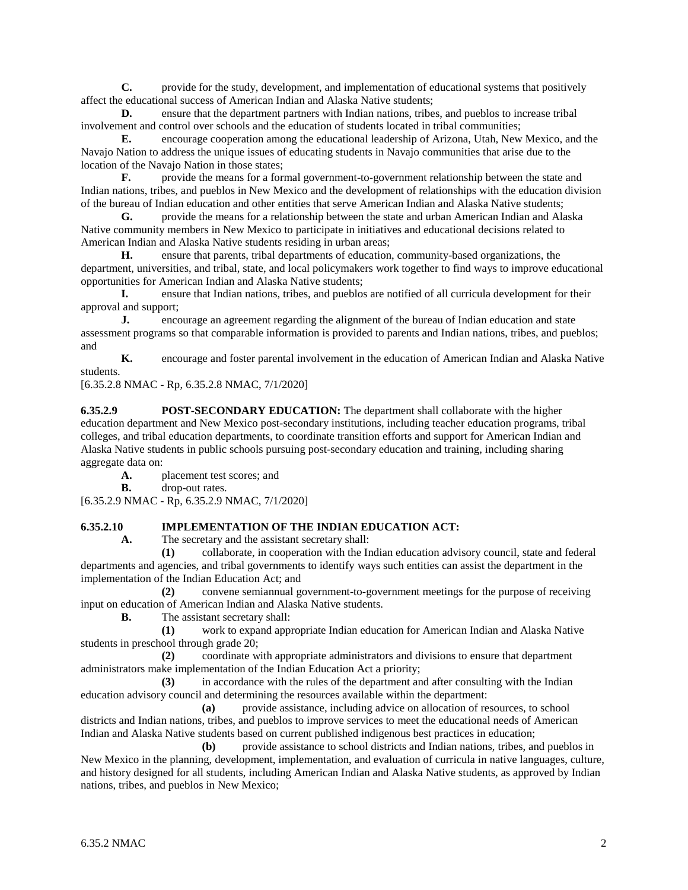**C.** provide for the study, development, and implementation of educational systems that positively affect the educational success of American Indian and Alaska Native students;

**D.** ensure that the department partners with Indian nations, tribes, and pueblos to increase tribal involvement and control over schools and the education of students located in tribal communities;

**E.** encourage cooperation among the educational leadership of Arizona, Utah, New Mexico, and the Navajo Nation to address the unique issues of educating students in Navajo communities that arise due to the location of the Navajo Nation in those states;

**F.** provide the means for a formal government-to-government relationship between the state and Indian nations, tribes, and pueblos in New Mexico and the development of relationships with the education division of the bureau of Indian education and other entities that serve American Indian and Alaska Native students;

**G.** provide the means for a relationship between the state and urban American Indian and Alaska Native community members in New Mexico to participate in initiatives and educational decisions related to American Indian and Alaska Native students residing in urban areas;

**H.** ensure that parents, tribal departments of education, community-based organizations, the department, universities, and tribal, state, and local policymakers work together to find ways to improve educational opportunities for American Indian and Alaska Native students;

**I.** ensure that Indian nations, tribes, and pueblos are notified of all curricula development for their approval and support;

**J.** encourage an agreement regarding the alignment of the bureau of Indian education and state assessment programs so that comparable information is provided to parents and Indian nations, tribes, and pueblos; and

**K.** encourage and foster parental involvement in the education of American Indian and Alaska Native students.

[6.35.2.8 NMAC - Rp, 6.35.2.8 NMAC, 7/1/2020]

**6.35.2.9 POST-SECONDARY EDUCATION:** The department shall collaborate with the higher education department and New Mexico post-secondary institutions, including teacher education programs, tribal colleges, and tribal education departments, to coordinate transition efforts and support for American Indian and Alaska Native students in public schools pursuing post-secondary education and training, including sharing aggregate data on:

**A.** placement test scores; and

**B.** drop-out rates.

[6.35.2.9 NMAC - Rp, 6.35.2.9 NMAC, 7/1/2020]

# **6.35.2.10 IMPLEMENTATION OF THE INDIAN EDUCATION ACT:**

**A.** The secretary and the assistant secretary shall:

**(1)** collaborate, in cooperation with the Indian education advisory council, state and federal departments and agencies, and tribal governments to identify ways such entities can assist the department in the implementation of the Indian Education Act; and

**(2)** convene semiannual government-to-government meetings for the purpose of receiving input on education of American Indian and Alaska Native students.

**B.** The assistant secretary shall:

**(1)** work to expand appropriate Indian education for American Indian and Alaska Native students in preschool through grade 20;

**(2)** coordinate with appropriate administrators and divisions to ensure that department administrators make implementation of the Indian Education Act a priority;

**(3)** in accordance with the rules of the department and after consulting with the Indian education advisory council and determining the resources available within the department:

**(a)** provide assistance, including advice on allocation of resources, to school districts and Indian nations, tribes, and pueblos to improve services to meet the educational needs of American Indian and Alaska Native students based on current published indigenous best practices in education;

**(b)** provide assistance to school districts and Indian nations, tribes, and pueblos in New Mexico in the planning, development, implementation, and evaluation of curricula in native languages, culture, and history designed for all students, including American Indian and Alaska Native students, as approved by Indian nations, tribes, and pueblos in New Mexico;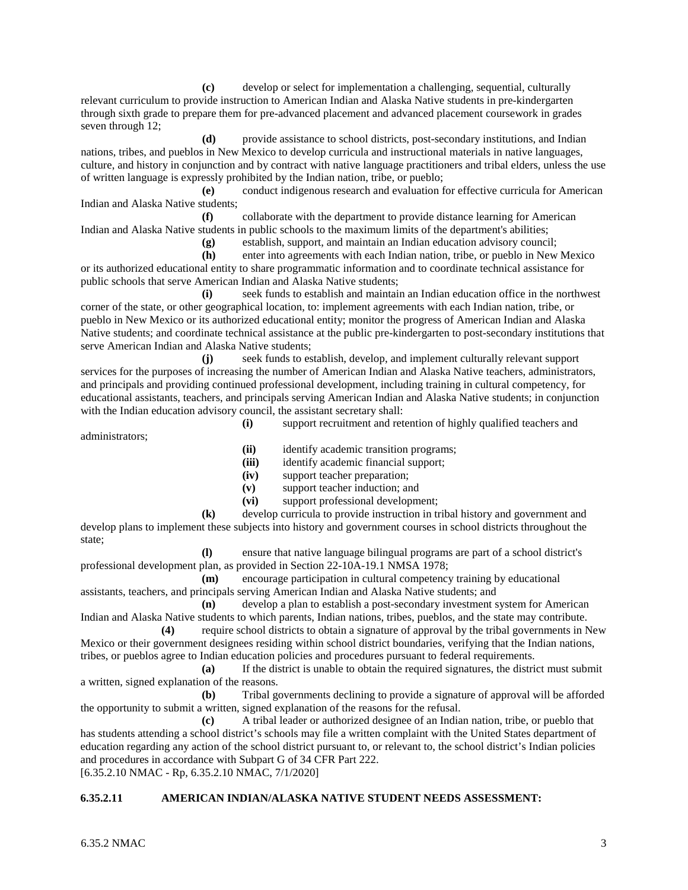**(c)** develop or select for implementation a challenging, sequential, culturally relevant curriculum to provide instruction to American Indian and Alaska Native students in pre-kindergarten through sixth grade to prepare them for pre-advanced placement and advanced placement coursework in grades seven through 12;

**(d)** provide assistance to school districts, post-secondary institutions, and Indian nations, tribes, and pueblos in New Mexico to develop curricula and instructional materials in native languages, culture, and history in conjunction and by contract with native language practitioners and tribal elders, unless the use of written language is expressly prohibited by the Indian nation, tribe, or pueblo;

**(e)** conduct indigenous research and evaluation for effective curricula for American Indian and Alaska Native students;

**(f)** collaborate with the department to provide distance learning for American Indian and Alaska Native students in public schools to the maximum limits of the department's abilities;

**(g)** establish, support, and maintain an Indian education advisory council;

**(h)** enter into agreements with each Indian nation, tribe, or pueblo in New Mexico or its authorized educational entity to share programmatic information and to coordinate technical assistance for public schools that serve American Indian and Alaska Native students;

**(i)** seek funds to establish and maintain an Indian education office in the northwest corner of the state, or other geographical location, to: implement agreements with each Indian nation, tribe, or pueblo in New Mexico or its authorized educational entity; monitor the progress of American Indian and Alaska Native students; and coordinate technical assistance at the public pre-kindergarten to post-secondary institutions that serve American Indian and Alaska Native students;

**(j)** seek funds to establish, develop, and implement culturally relevant support services for the purposes of increasing the number of American Indian and Alaska Native teachers, administrators, and principals and providing continued professional development, including training in cultural competency, for educational assistants, teachers, and principals serving American Indian and Alaska Native students; in conjunction with the Indian education advisory council, the assistant secretary shall:

administrators;

**(i)** support recruitment and retention of highly qualified teachers and

**(ii)** identify academic transition programs;

**(iii)** identify academic financial support;

**(iv)** support teacher preparation;

**(v)** support teacher induction; and

**(vi)** support professional development;

**(k)** develop curricula to provide instruction in tribal history and government and develop plans to implement these subjects into history and government courses in school districts throughout the state;

**(l)** ensure that native language bilingual programs are part of a school district's professional development plan, as provided in Section 22-10A-19.1 NMSA 1978;

**(m)** encourage participation in cultural competency training by educational assistants, teachers, and principals serving American Indian and Alaska Native students; and

**(n)** develop a plan to establish a post-secondary investment system for American Indian and Alaska Native students to which parents, Indian nations, tribes, pueblos, and the state may contribute.

**(4)** require school districts to obtain a signature of approval by the tribal governments in New Mexico or their government designees residing within school district boundaries, verifying that the Indian nations, tribes, or pueblos agree to Indian education policies and procedures pursuant to federal requirements.

**(a)** If the district is unable to obtain the required signatures, the district must submit a written, signed explanation of the reasons.

**(b)** Tribal governments declining to provide a signature of approval will be afforded the opportunity to submit a written, signed explanation of the reasons for the refusal.

**(c)** A tribal leader or authorized designee of an Indian nation, tribe, or pueblo that has students attending a school district's schools may file a written complaint with the United States department of education regarding any action of the school district pursuant to, or relevant to, the school district's Indian policies and procedures in accordance with Subpart G of 34 CFR Part 222.

[6.35.2.10 NMAC - Rp, 6.35.2.10 NMAC, 7/1/2020]

#### **6.35.2.11 AMERICAN INDIAN/ALASKA NATIVE STUDENT NEEDS ASSESSMENT:**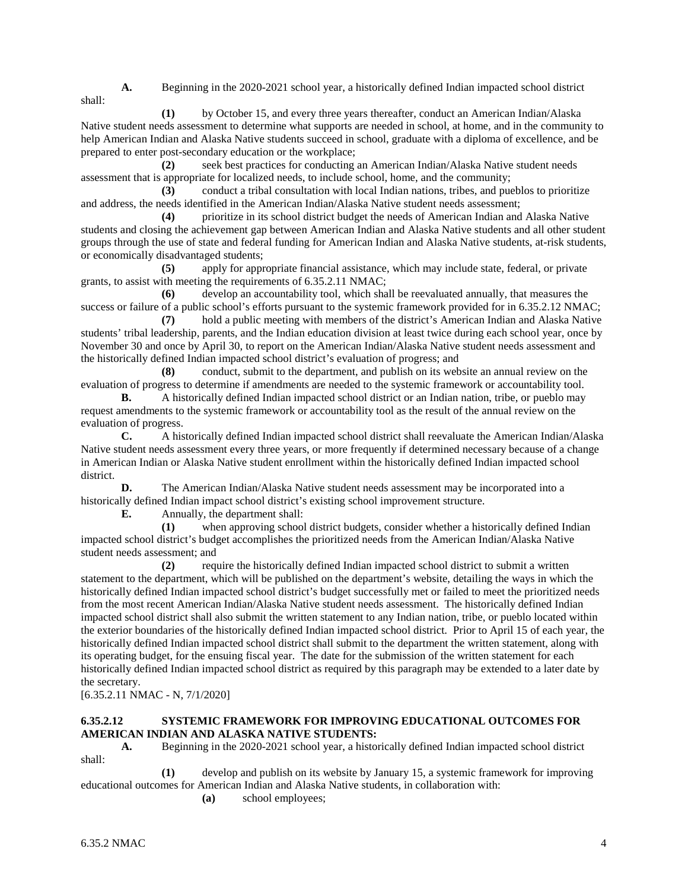shall:

**A.** Beginning in the 2020-2021 school year, a historically defined Indian impacted school district

**(1)** by October 15, and every three years thereafter, conduct an American Indian/Alaska Native student needs assessment to determine what supports are needed in school, at home, and in the community to help American Indian and Alaska Native students succeed in school, graduate with a diploma of excellence, and be prepared to enter post-secondary education or the workplace;

**(2)** seek best practices for conducting an American Indian/Alaska Native student needs assessment that is appropriate for localized needs, to include school, home, and the community;

**(3)** conduct a tribal consultation with local Indian nations, tribes, and pueblos to prioritize and address, the needs identified in the American Indian/Alaska Native student needs assessment;

**(4)** prioritize in its school district budget the needs of American Indian and Alaska Native students and closing the achievement gap between American Indian and Alaska Native students and all other student groups through the use of state and federal funding for American Indian and Alaska Native students, at-risk students, or economically disadvantaged students;

**(5)** apply for appropriate financial assistance, which may include state, federal, or private grants, to assist with meeting the requirements of 6.35.2.11 NMAC;

**(6)** develop an accountability tool, which shall be reevaluated annually, that measures the success or failure of a public school's efforts pursuant to the systemic framework provided for in 6.35.2.12 NMAC;

**(7)** hold a public meeting with members of the district's American Indian and Alaska Native students' tribal leadership, parents, and the Indian education division at least twice during each school year, once by November 30 and once by April 30, to report on the American Indian/Alaska Native student needs assessment and the historically defined Indian impacted school district's evaluation of progress; and

**(8)** conduct, submit to the department, and publish on its website an annual review on the evaluation of progress to determine if amendments are needed to the systemic framework or accountability tool.

**B.** A historically defined Indian impacted school district or an Indian nation, tribe, or pueblo may request amendments to the systemic framework or accountability tool as the result of the annual review on the evaluation of progress.

**C.** A historically defined Indian impacted school district shall reevaluate the American Indian/Alaska Native student needs assessment every three years, or more frequently if determined necessary because of a change in American Indian or Alaska Native student enrollment within the historically defined Indian impacted school district.

**D.** The American Indian/Alaska Native student needs assessment may be incorporated into a historically defined Indian impact school district's existing school improvement structure.

**E.** Annually, the department shall:

**(1)** when approving school district budgets, consider whether a historically defined Indian impacted school district's budget accomplishes the prioritized needs from the American Indian/Alaska Native student needs assessment; and

**(2)** require the historically defined Indian impacted school district to submit a written statement to the department, which will be published on the department's website, detailing the ways in which the historically defined Indian impacted school district's budget successfully met or failed to meet the prioritized needs from the most recent American Indian/Alaska Native student needs assessment. The historically defined Indian impacted school district shall also submit the written statement to any Indian nation, tribe, or pueblo located within the exterior boundaries of the historically defined Indian impacted school district. Prior to April 15 of each year, the historically defined Indian impacted school district shall submit to the department the written statement, along with its operating budget, for the ensuing fiscal year. The date for the submission of the written statement for each historically defined Indian impacted school district as required by this paragraph may be extended to a later date by the secretary.

[6.35.2.11 NMAC - N, 7/1/2020]

# **6.35.2.12 SYSTEMIC FRAMEWORK FOR IMPROVING EDUCATIONAL OUTCOMES FOR AMERICAN INDIAN AND ALASKA NATIVE STUDENTS:**

**A.** Beginning in the 2020-2021 school year, a historically defined Indian impacted school district shall:

**(1)** develop and publish on its website by January 15, a systemic framework for improving educational outcomes for American Indian and Alaska Native students, in collaboration with:

**(a)** school employees;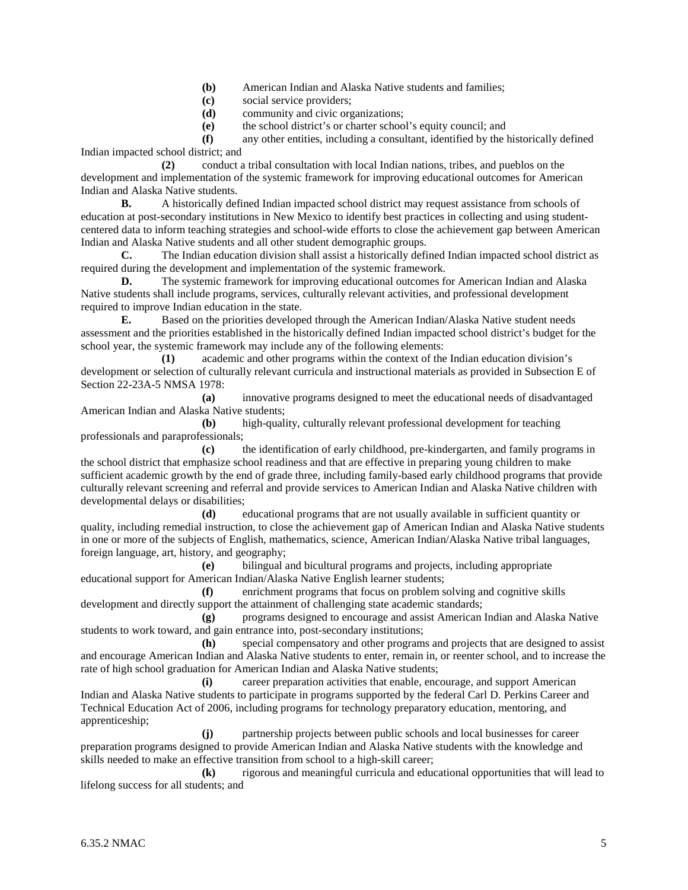- **(b)** American Indian and Alaska Native students and families;
- **(c)** social service providers;
- **(d)** community and civic organizations;
- **(e)** the school district's or charter school's equity council; and

**(f)** any other entities, including a consultant, identified by the historically defined Indian impacted school district; and

**(2)** conduct a tribal consultation with local Indian nations, tribes, and pueblos on the development and implementation of the systemic framework for improving educational outcomes for American Indian and Alaska Native students.

**B.** A historically defined Indian impacted school district may request assistance from schools of education at post-secondary institutions in New Mexico to identify best practices in collecting and using studentcentered data to inform teaching strategies and school-wide efforts to close the achievement gap between American Indian and Alaska Native students and all other student demographic groups.

**C.** The Indian education division shall assist a historically defined Indian impacted school district as required during the development and implementation of the systemic framework.

**D.** The systemic framework for improving educational outcomes for American Indian and Alaska Native students shall include programs, services, culturally relevant activities, and professional development required to improve Indian education in the state.

**E.** Based on the priorities developed through the American Indian/Alaska Native student needs assessment and the priorities established in the historically defined Indian impacted school district's budget for the school year, the systemic framework may include any of the following elements:

**(1)** academic and other programs within the context of the Indian education division's development or selection of culturally relevant curricula and instructional materials as provided in Subsection E of Section 22-23A-5 NMSA 1978:

**(a)** innovative programs designed to meet the educational needs of disadvantaged American Indian and Alaska Native students;

**(b)** high-quality, culturally relevant professional development for teaching professionals and paraprofessionals;

**(c)** the identification of early childhood, pre-kindergarten, and family programs in the school district that emphasize school readiness and that are effective in preparing young children to make sufficient academic growth by the end of grade three, including family-based early childhood programs that provide culturally relevant screening and referral and provide services to American Indian and Alaska Native children with developmental delays or disabilities;

**(d)** educational programs that are not usually available in sufficient quantity or quality, including remedial instruction, to close the achievement gap of American Indian and Alaska Native students in one or more of the subjects of English, mathematics, science, American Indian/Alaska Native tribal languages, foreign language, art, history, and geography;

**(e)** bilingual and bicultural programs and projects, including appropriate educational support for American Indian/Alaska Native English learner students;

**(f)** enrichment programs that focus on problem solving and cognitive skills development and directly support the attainment of challenging state academic standards;

**(g)** programs designed to encourage and assist American Indian and Alaska Native students to work toward, and gain entrance into, post-secondary institutions;

**(h)** special compensatory and other programs and projects that are designed to assist and encourage American Indian and Alaska Native students to enter, remain in, or reenter school, and to increase the rate of high school graduation for American Indian and Alaska Native students;

**(i)** career preparation activities that enable, encourage, and support American Indian and Alaska Native students to participate in programs supported by the federal Carl D. Perkins Career and Technical Education Act of 2006, including programs for technology preparatory education, mentoring, and apprenticeship;

**(j)** partnership projects between public schools and local businesses for career preparation programs designed to provide American Indian and Alaska Native students with the knowledge and skills needed to make an effective transition from school to a high-skill career;

**(k)** rigorous and meaningful curricula and educational opportunities that will lead to lifelong success for all students; and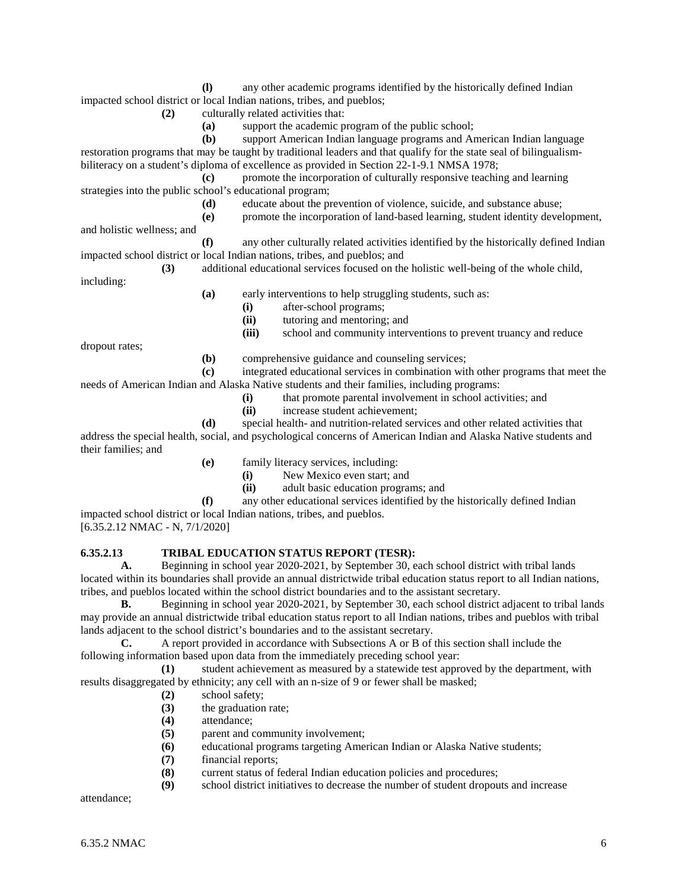**(l)** any other academic programs identified by the historically defined Indian impacted school district or local Indian nations, tribes, and pueblos;

**(2)** culturally related activities that:

**(a)** support the academic program of the public school;

**(b)** support American Indian language programs and American Indian language restoration programs that may be taught by traditional leaders and that qualify for the state seal of bilingualismbiliteracy on a student's diploma of excellence as provided in Section 22-1-9.1 NMSA 1978;

**(c)** promote the incorporation of culturally responsive teaching and learning strategies into the public school's educational program;

- **(d)** educate about the prevention of violence, suicide, and substance abuse;
- **(e)** promote the incorporation of land-based learning, student identity development,

and holistic wellness; and

**(f)** any other culturally related activities identified by the historically defined Indian impacted school district or local Indian nations, tribes, and pueblos; and

**(3)** additional educational services focused on the holistic well-being of the whole child, including:

- **(a)** early interventions to help struggling students, such as:
	- **(i)** after-school programs;
	- **(ii)** tutoring and mentoring; and<br>**(iii)** school and community interv school and community interventions to prevent truancy and reduce

dropout rates;

**(b)** comprehensive guidance and counseling services;

**(c)** integrated educational services in combination with other programs that meet the

- needs of American Indian and Alaska Native students and their families, including programs:
	- **(i)** that promote parental involvement in school activities; and
	- **(ii)** increase student achievement;

**(d)** special health- and nutrition-related services and other related activities that address the special health, social, and psychological concerns of American Indian and Alaska Native students and their families; and

- **(e)** family literacy services, including:
	- **(i)** New Mexico even start; and
	- **(ii)** adult basic education programs; and

**(f)** any other educational services identified by the historically defined Indian impacted school district or local Indian nations, tribes, and pueblos.

[6.35.2.12 NMAC - N, 7/1/2020]

# **6.35.2.13 TRIBAL EDUCATION STATUS REPORT (TESR):**

**A.** Beginning in school year 2020-2021, by September 30, each school district with tribal lands located within its boundaries shall provide an annual districtwide tribal education status report to all Indian nations, tribes, and pueblos located within the school district boundaries and to the assistant secretary.

**B.** Beginning in school year 2020-2021, by September 30, each school district adjacent to tribal lands may provide an annual districtwide tribal education status report to all Indian nations, tribes and pueblos with tribal lands adjacent to the school district's boundaries and to the assistant secretary.

**C.** A report provided in accordance with Subsections A or B of this section shall include the following information based upon data from the immediately preceding school year:

**(1)** student achievement as measured by a statewide test approved by the department, with results disaggregated by ethnicity; any cell with an n-size of 9 or fewer shall be masked;

- **(2)** school safety;
- **(3)** the graduation rate;
- **(4)** attendance;
- **(5)** parent and community involvement;
- **(6)** educational programs targeting American Indian or Alaska Native students;
- **(7)** financial reports;
- **(8)** current status of federal Indian education policies and procedures;
- **(9)** school district initiatives to decrease the number of student dropouts and increase

attendance;